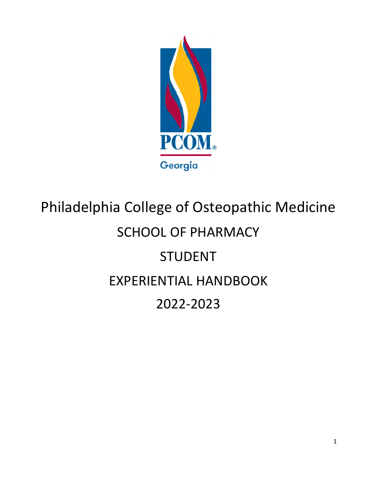

# Philadelphia College of Osteopathic Medicine SCHOOL OF PHARMACY STUDENT EXPERIENTIAL HANDBOOK 2022‐2023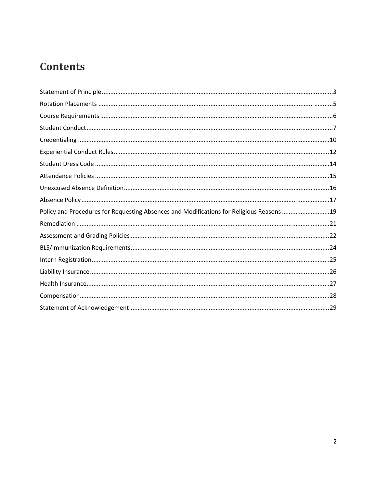# **Contents**

| Policy and Procedures for Requesting Absences and Modifications for Religious Reasons 19 |
|------------------------------------------------------------------------------------------|
|                                                                                          |
|                                                                                          |
|                                                                                          |
|                                                                                          |
|                                                                                          |
|                                                                                          |
|                                                                                          |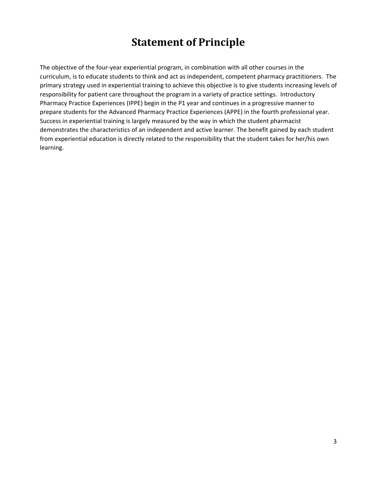### **Statement of Principle**

The objective of the four‐year experiential program, in combination with all other courses in the curriculum, is to educate students to think and act as independent, competent pharmacy practitioners. The primary strategy used in experiential training to achieve this objective is to give students increasing levels of responsibility for patient care throughout the program in a variety of practice settings. Introductory Pharmacy Practice Experiences (IPPE) begin in the P1 year and continues in a progressive manner to prepare students for the Advanced Pharmacy Practice Experiences (APPE) in the fourth professional year. Success in experiential training is largely measured by the way in which the student pharmacist demonstrates the characteristics of an independent and active learner. The benefit gained by each student from experiential education is directly related to the responsibility that the student takes for her/his own learning.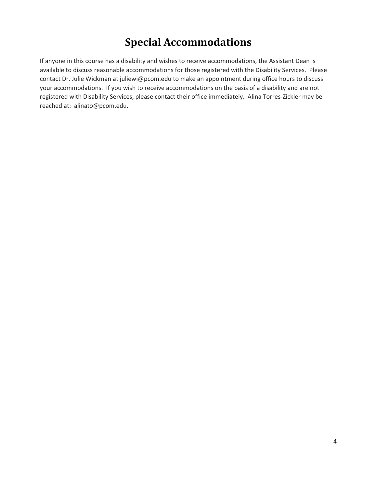# **Special Accommodations**

If anyone in this course has a disability and wishes to receive accommodations, the Assistant Dean is available to discuss reasonable accommodations for those registered with the Disability Services. Please contact Dr. Julie Wickman at juliewi@pcom.edu to make an appointment during office hours to discuss your accommodations. If you wish to receive accommodations on the basis of a disability and are not registered with Disability Services, please contact their office immediately. Alina Torres‐Zickler may be reached at: alinato@pcom.edu.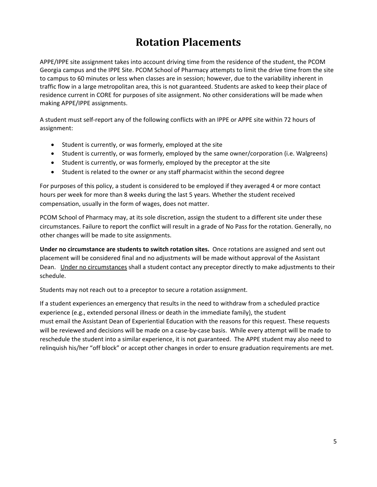# **Rotation Placements**

APPE/IPPE site assignment takes into account driving time from the residence of the student, the PCOM Georgia campus and the IPPE Site. PCOM School of Pharmacy attempts to limit the drive time from the site to campus to 60 minutes or less when classes are in session; however, due to the variability inherent in traffic flow in a large metropolitan area, this is not guaranteed. Students are asked to keep their place of residence current in CORE for purposes of site assignment. No other considerations will be made when making APPE/IPPE assignments.

A student must self‐report any of the following conflicts with an IPPE or APPE site within 72 hours of assignment:

- Student is currently, or was formerly, employed at the site
- Student is currently, or was formerly, employed by the same owner/corporation (i.e. Walgreens)
- Student is currently, or was formerly, employed by the preceptor at the site
- Student is related to the owner or any staff pharmacist within the second degree

For purposes of this policy, a student is considered to be employed if they averaged 4 or more contact hours per week for more than 8 weeks during the last 5 years. Whether the student received compensation, usually in the form of wages, does not matter.

PCOM School of Pharmacy may, at its sole discretion, assign the student to a different site under these circumstances. Failure to report the conflict will result in a grade of No Pass for the rotation. Generally, no other changes will be made to site assignments.

**Under no circumstance are students to switch rotation sites.** Once rotations are assigned and sent out placement will be considered final and no adjustments will be made without approval of the Assistant Dean. Under no circumstances shall a student contact any preceptor directly to make adjustments to their schedule.

Students may not reach out to a preceptor to secure a rotation assignment.

If a student experiences an emergency that results in the need to withdraw from a scheduled practice experience (e.g., extended personal illness or death in the immediate family), the student must email the Assistant Dean of Experiential Education with the reasons for this request. These requests will be reviewed and decisions will be made on a case-by-case basis. While every attempt will be made to reschedule the student into a similar experience, it is not guaranteed. The APPE student may also need to relinquish his/her "off block" or accept other changes in order to ensure graduation requirements are met.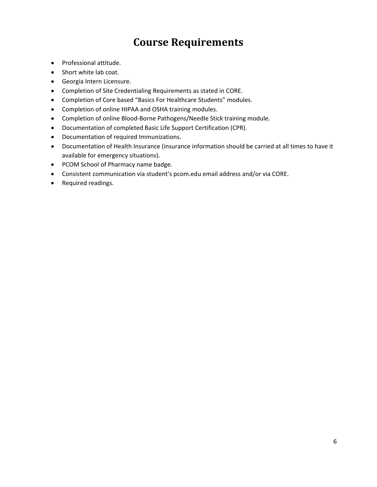### **Course Requirements**

- Professional attitude.
- Short white lab coat.
- Georgia Intern Licensure.
- Completion of Site Credentialing Requirements as stated in CORE.
- Completion of Core based "Basics For Healthcare Students" modules.
- Completion of online HIPAA and OSHA training modules.
- Completion of online Blood-Borne Pathogens/Needle Stick training module.
- Documentation of completed Basic Life Support Certification (CPR).
- Documentation of required Immunizations.
- Documentation of Health Insurance (insurance information should be carried at all times to have it available for emergency situations).
- PCOM School of Pharmacy name badge.
- Consistent communication via student's pcom.edu email address and/or via CORE.
- Required readings.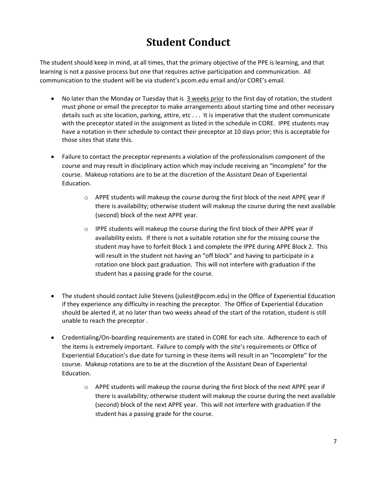# **Student Conduct**

The student should keep in mind, at all times, that the primary objective of the PPE is learning, and that learning is not a passive process but one that requires active participation and communication. All communication to the student will be via student's pcom.edu email and/or CORE's email.

- No later than the Monday or Tuesday that is 3 weeks prior to the first day of rotation, the student must phone or email the preceptor to make arrangements about starting time and other necessary details such as site location, parking, attire, etc . . . It is imperative that the student communicate with the preceptor stated in the assignment as listed in the schedule in CORE. IPPE students may have a notation in their schedule to contact their preceptor at 10 days prior; this is acceptable for those sites that state this.
- Failure to contact the preceptor represents a violation of the professionalism component of the course and may result in disciplinary action which may include receiving an "Incomplete" for the course. Makeup rotations are to be at the discretion of the Assistant Dean of Experiental Education.
	- $\circ$  APPE students will makeup the course during the first block of the next APPE year if there is availability; otherwise student will makeup the course during the next available (second) block of the next APPE year.
	- $\circ$  IPPE students will makeup the course during the first block of their APPE year if availability exists. If there is not a suitable rotation site for the missing course the student may have to forfeit Block 1 and complete the IPPE during APPE Block 2. This will result in the student not having an "off block" and having to participate in a rotation one block past graduation. This will not interfere with graduation if the student has a passing grade for the course.
- The student should contact Julie Stevens (juliest@pcom.edu) in the Office of Experiential Education if they experience any difficulty in reaching the preceptor. The Office of Experiential Education should be alerted if, at no later than two weeks ahead of the start of the rotation, student is still unable to reach the preceptor .
- Credentialing/On-boarding requirements are stated in CORE for each site. Adherence to each of the items is extremely important. Failure to comply with the site's requirements or Office of Experiential Education's due date for turning in these items will result in an "Incomplete" for the course. Makeup rotations are to be at the discretion of the Assistant Dean of Experiental Education.
	- $\circ$  APPE students will makeup the course during the first block of the next APPE year if there is availability; otherwise student will makeup the course during the next available (second) block of the next APPE year. This will not interfere with graduation if the student has a passing grade for the course.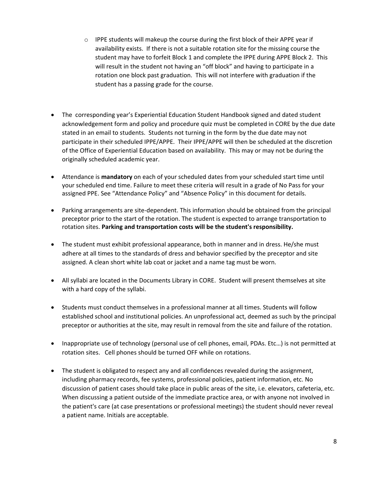- o IPPE students will makeup the course during the first block of their APPE year if availability exists. If there is not a suitable rotation site for the missing course the student may have to forfeit Block 1 and complete the IPPE during APPE Block 2. This will result in the student not having an "off block" and having to participate in a rotation one block past graduation. This will not interfere with graduation if the student has a passing grade for the course.
- The corresponding year's Experiential Education Student Handbook signed and dated student acknowledgement form and policy and procedure quiz must be completed in CORE by the due date stated in an email to students. Students not turning in the form by the due date may not participate in their scheduled IPPE/APPE. Their IPPE/APPE will then be scheduled at the discretion of the Office of Experiential Education based on availability. This may or may not be during the originally scheduled academic year.
- Attendance is **mandatory** on each of your scheduled dates from your scheduled start time until your scheduled end time. Failure to meet these criteria will result in a grade of No Pass for your assigned PPE. See "Attendance Policy" and "Absence Policy" in this document for details.
- Parking arrangements are site-dependent. This information should be obtained from the principal preceptor prior to the start of the rotation. The student is expected to arrange transportation to rotation sites. **Parking and transportation costs will be the student's responsibility.**
- The student must exhibit professional appearance, both in manner and in dress. He/she must adhere at all times to the standards of dress and behavior specified by the preceptor and site assigned. A clean short white lab coat or jacket and a name tag must be worn.
- All syllabi are located in the Documents Library in CORE. Student will present themselves at site with a hard copy of the syllabi.
- Students must conduct themselves in a professional manner at all times. Students will follow established school and institutional policies. An unprofessional act, deemed as such by the principal preceptor or authorities at the site, may result in removal from the site and failure of the rotation.
- Inappropriate use of technology (personal use of cell phones, email, PDAs. Etc...) is not permitted at rotation sites. Cell phones should be turned OFF while on rotations.
- The student is obligated to respect any and all confidences revealed during the assignment, including pharmacy records, fee systems, professional policies, patient information, etc. No discussion of patient cases should take place in public areas of the site, i.e. elevators, cafeteria, etc. When discussing a patient outside of the immediate practice area, or with anyone not involved in the patient's care (at case presentations or professional meetings) the student should never reveal a patient name. Initials are acceptable.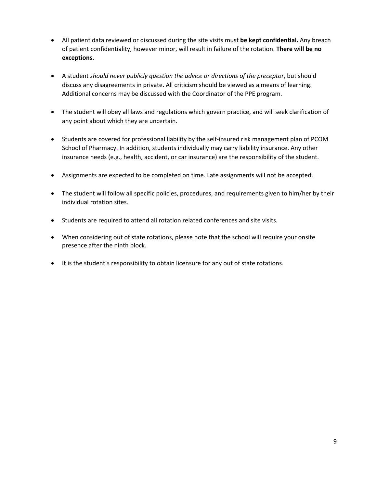- All patient data reviewed or discussed during the site visits must **be kept confidential.** Any breach of patient confidentiality, however minor, will result in failure of the rotation. **There will be no exceptions.**
- A student *should never publicly question the advice or directions of the preceptor*, but should discuss any disagreements in private. All criticism should be viewed as a means of learning. Additional concerns may be discussed with the Coordinator of the PPE program.
- The student will obey all laws and regulations which govern practice, and will seek clarification of any point about which they are uncertain.
- Students are covered for professional liability by the self-insured risk management plan of PCOM School of Pharmacy. In addition, students individually may carry liability insurance. Any other insurance needs (e.g., health, accident, or car insurance) are the responsibility of the student.
- Assignments are expected to be completed on time. Late assignments will not be accepted.
- The student will follow all specific policies, procedures, and requirements given to him/her by their individual rotation sites.
- Students are required to attend all rotation related conferences and site visits.
- When considering out of state rotations, please note that the school will require your onsite presence after the ninth block.
- It is the student's responsibility to obtain licensure for any out of state rotations.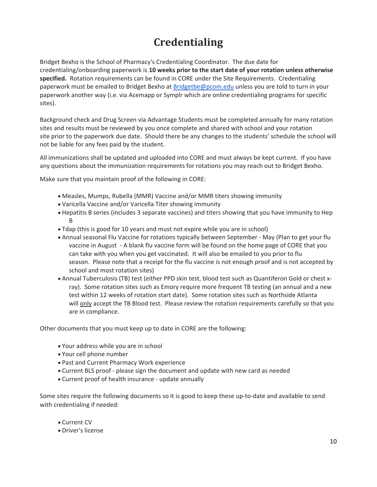# **Credentialing**

Bridget Bexho is the School of Pharmacy's Credentialing Coordinator. The due date for credentialing/onboarding paperwork is **10 weeks prior to the start date of your rotation unless otherwise specified.** Rotation requirements can be found in CORE under the Site Requirements. Credentialing paperwork must be emailed to Bridget Bexho at Bridgetbe@pcom.edu unless you are told to turn in your paperwork another way (i.e. via Acemapp or Symplr which are online credentialing programs for specific sites).

Background check and Drug Screen via Advantage Students must be completed annually for many rotation sites and results must be reviewed by you once complete and shared with school and your rotation site prior to the paperwork due date. Should there be any changes to the students' schedule the school will not be liable for any fees paid by the student.

All immunizations shall be updated and uploaded into CORE and must always be kept current. If you have any questions about the immunization requirements for rotations you may reach out to Bridget Bexho.

Make sure that you maintain proof of the following in CORE:

- Measles, Mumps, Rubella (MMR) Vaccine and/or MMR titers showing immunity
- Varicella Vaccine and/or Varicella Titer showing immunity
- Hepatitis B series (includes 3 separate vaccines) and titers showing that you have immunity to Hep B
- Tdap (this is good for 10 years and must not expire while you are in school)
- Annual seasonal Flu Vaccine for rotations typically between September ‐ May (Plan to get your flu vaccine in August ‐ A blank flu vaccine form will be found on the home page of CORE that you can take with you when you get vaccinated. It will also be emailed to you prior to flu season. Please note that a receipt for the flu vaccine is not enough proof and is not accepted by school and most rotation sites)
- Annual Tuberculosis (TB) test (either PPD skin test, blood test such as Quantiferon Gold or chest x‐ ray). Some rotation sites such as Emory require more frequent TB testing (an annual and a new test within 12 weeks of rotation start date). Some rotation sites such as Northside Atlanta will only accept the TB Blood test. Please review the rotation requirements carefully so that you are in compliance.

Other documents that you must keep up to date in CORE are the following:

- Your address while you are in school
- Your cell phone number
- Past and Current Pharmacy Work experience
- Current BLS proof ‐ please sign the document and update with new card as needed
- Current proof of health insurance ‐ update annually

Some sites require the following documents so it is good to keep these up-to-date and available to send with credentialing if needed:

- Current CV
- Driver's license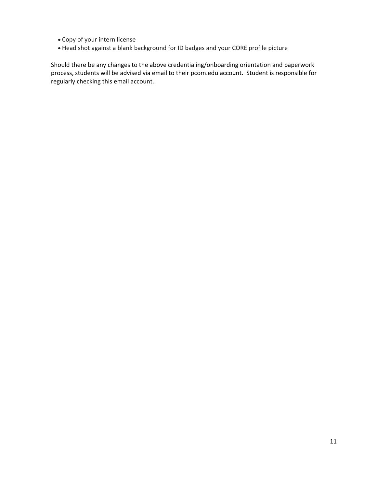- Copy of your intern license
- Head shot against a blank background for ID badges and your CORE profile picture

Should there be any changes to the above credentialing/onboarding orientation and paperwork process, students will be advised via email to their pcom.edu account. Student is responsible for regularly checking this email account.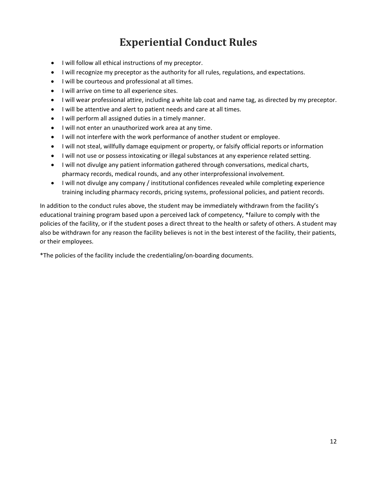# **Experiential Conduct Rules**

- I will follow all ethical instructions of my preceptor.
- I will recognize my preceptor as the authority for all rules, regulations, and expectations.
- $\bullet$  I will be courteous and professional at all times.
- I will arrive on time to all experience sites.
- I will wear professional attire, including a white lab coat and name tag, as directed by my preceptor.
- I will be attentive and alert to patient needs and care at all times.
- I will perform all assigned duties in a timely manner.
- I will not enter an unauthorized work area at any time.
- I will not interfere with the work performance of another student or employee.
- I will not steal, willfully damage equipment or property, or falsify official reports or information
- I will not use or possess intoxicating or illegal substances at any experience related setting.
- I will not divulge any patient information gathered through conversations, medical charts, pharmacy records, medical rounds, and any other interprofessional involvement.
- I will not divulge any company / institutional confidences revealed while completing experience training including pharmacy records, pricing systems, professional policies, and patient records.

In addition to the conduct rules above, the student may be immediately withdrawn from the facility's educational training program based upon a perceived lack of competency, \*failure to comply with the policies of the facility, or if the student poses a direct threat to the health or safety of others. A student may also be withdrawn for any reason the facility believes is not in the best interest of the facility, their patients, or their employees.

\*The policies of the facility include the credentialing/on‐boarding documents.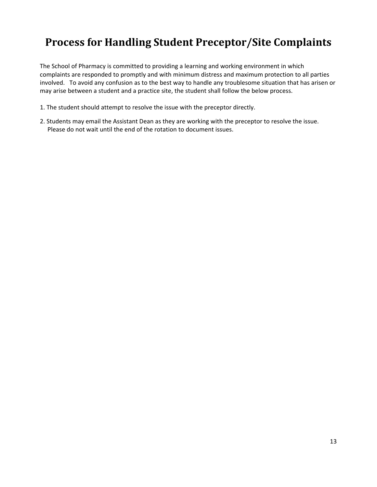# **Process for Handling Student Preceptor/Site Complaints**

The School of Pharmacy is committed to providing a learning and working environment in which complaints are responded to promptly and with minimum distress and maximum protection to all parties involved. To avoid any confusion as to the best way to handle any troublesome situation that has arisen or may arise between a student and a practice site, the student shall follow the below process.

- 1. The student should attempt to resolve the issue with the preceptor directly.
- 2. Students may email the Assistant Dean as they are working with the preceptor to resolve the issue. Please do not wait until the end of the rotation to document issues.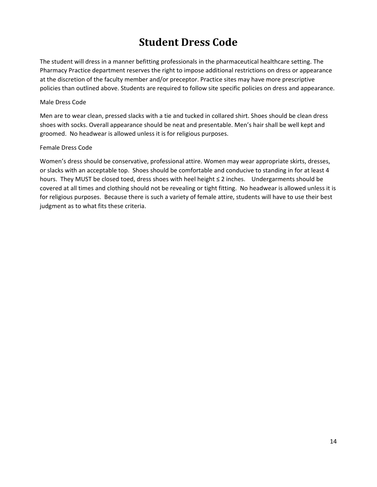# **Student Dress Code**

The student will dress in a manner befitting professionals in the pharmaceutical healthcare setting. The Pharmacy Practice department reserves the right to impose additional restrictions on dress or appearance at the discretion of the faculty member and/or preceptor. Practice sites may have more prescriptive policies than outlined above. Students are required to follow site specific policies on dress and appearance.

#### Male Dress Code

Men are to wear clean, pressed slacks with a tie and tucked in collared shirt. Shoes should be clean dress shoes with socks. Overall appearance should be neat and presentable. Men's hair shall be well kept and groomed. No headwear is allowed unless it is for religious purposes.

#### Female Dress Code

Women's dress should be conservative, professional attire. Women may wear appropriate skirts, dresses, or slacks with an acceptable top. Shoes should be comfortable and conducive to standing in for at least 4 hours. They MUST be closed toed, dress shoes with heel height ≤ 2 inches. Undergarments should be covered at all times and clothing should not be revealing or tight fitting. No headwear is allowed unless it is for religious purposes. Because there is such a variety of female attire, students will have to use their best judgment as to what fits these criteria.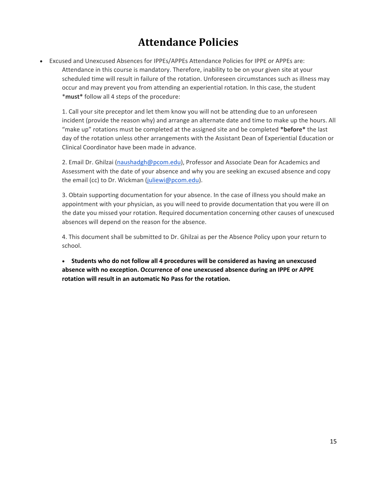### **Attendance Policies**

 Excused and Unexcused Absences for IPPEs/APPEs Attendance Policies for IPPE or APPEs are: Attendance in this course is mandatory. Therefore, inability to be on your given site at your scheduled time will result in failure of the rotation. Unforeseen circumstances such as illness may occur and may prevent you from attending an experiential rotation. In this case, the student \***must\*** follow all 4 steps of the procedure:

1. Call your site preceptor and let them know you will not be attending due to an unforeseen incident (provide the reason why) and arrange an alternate date and time to make up the hours. All "make up" rotations must be completed at the assigned site and be completed **\*before\*** the last day of the rotation unless other arrangements with the Assistant Dean of Experiential Education or Clinical Coordinator have been made in advance.

2. Email Dr. Ghilzai (naushadgh@pcom.edu), Professor and Associate Dean for Academics and Assessment with the date of your absence and why you are seeking an excused absence and copy the email (cc) to Dr. Wickman (juliewi@pcom.edu).

3. Obtain supporting documentation for your absence. In the case of illness you should make an appointment with your physician, as you will need to provide documentation that you were ill on the date you missed your rotation. Required documentation concerning other causes of unexcused absences will depend on the reason for the absence.

4. This document shall be submitted to Dr. Ghilzai as per the Absence Policy upon your return to school.

 **Students who do not follow all 4 procedures will be considered as having an unexcused absence with no exception. Occurrence of one unexcused absence during an IPPE or APPE rotation will result in an automatic No Pass for the rotation.**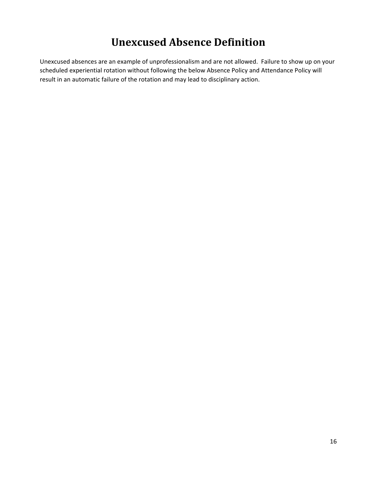### **Unexcused Absence Definition**

Unexcused absences are an example of unprofessionalism and are not allowed. Failure to show up on your scheduled experiential rotation without following the below Absence Policy and Attendance Policy will result in an automatic failure of the rotation and may lead to disciplinary action.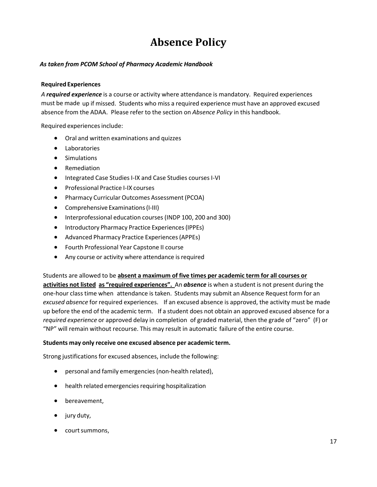# **Absence Policy**

#### *As taken from PCOM School of Pharmacy Academic Handbook*

#### **Required Experiences**

*A required experience* is a course or activity where attendance is mandatory. Required experiences must be made up if missed. Students who miss a required experience must have an approved excused absence from the ADAA. Please refer to the section on *Absence Policy* in this handbook.

Required experiences include:

- Oral and written examinations and quizzes
- Laboratories
- **•** Simulations
- Remediation
- Integrated Case Studies I-IX and Case Studies courses I-VI
- Professional Practice I-IX courses
- Pharmacy Curricular Outcomes Assessment (PCOA)
- Comprehensive Examinations (I-III)
- Interprofessional education courses(INDP 100, 200 and 300)
- **•** Introductory Pharmacy Practice Experiences (IPPEs)
- Advanced Pharmacy Practice Experiences(APPEs)
- Fourth Professional Year Capstone II course
- Any course or activity where attendance is required

Students are allowed to be **absent a maximum of five times per academic term for all courses or activities not listed as "required experiences".** An *absence* is when a student is not present during the one‐hour class time when attendance is taken. Students may submit an Absence Request form for an *excused absence* for required experiences. If an excused absence is approved, the activity must be made up before the end of the academic term. If a student does not obtain an approved excused absence for a *required experience* or approved delay in completion of graded material, then the grade of "zero" (F) or "NP" will remain without recourse. This may result in automatic failure of the entire course.

#### **Students may only receive one excused absence per academic term.**

Strong justifications for excused absences, include the following:

- personal and family emergencies (non-health related),
- $\bullet$  health related emergencies requiring hospitalization
- bereavement.
- jury duty,
- court summons,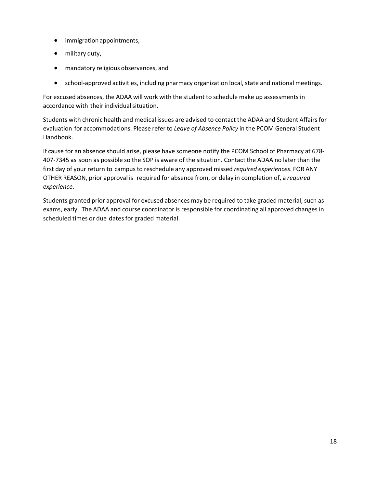- immigrationappointments,
- military duty,
- mandatory religious observances, and
- school-approved activities, including pharmacy organization local, state and national meetings.

For excused absences, the ADAA will work with the student to schedule make up assessments in accordance with their individual situation.

Students with chronic health and medical issues are advised to contact the ADAA and Student Affairs for evaluation for accommodations. Please refer to *Leave of Absence Policy* in the PCOM General Student Handbook.

If cause for an absence should arise, please have someone notify the PCOM School of Pharmacy at 678‐ 407‐7345 as soon as possible so the SOP is aware of the situation. Contact the ADAA no later than the first day of your return to campus to reschedule any approved missed *required experiences*. FOR ANY OTHER REASON, prior approval is required for absence from, or delay in completion of, a *required experience*.

Students granted prior approval for excused absences may be required to take graded material, such as exams, early. The ADAA and course coordinator is responsible for coordinating all approved changes in scheduled times or due dates for graded material.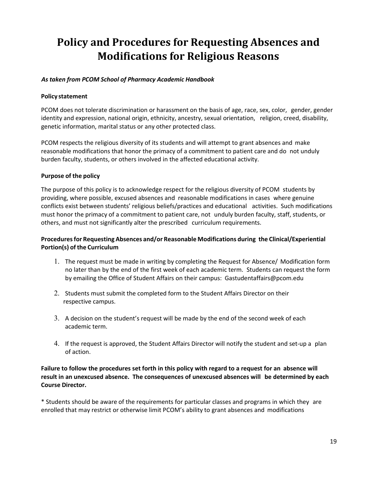# **Policy and Procedures for Requesting Absences and Modifications for Religious Reasons**

#### *As taken from PCOM School of Pharmacy Academic Handbook*

#### **Policy statement**

PCOM does not tolerate discrimination or harassment on the basis of age, race, sex, color, gender, gender identity and expression, national origin, ethnicity, ancestry, sexual orientation, religion, creed, disability, genetic information, marital status or any other protected class.

PCOM respects the religious diversity of its students and will attempt to grant absences and make reasonable modifications that honor the primacy of a commitment to patient care and do not unduly burden faculty, students, or others involved in the affected educational activity.

#### **Purpose of the policy**

The purpose of this policy is to acknowledge respect for the religious diversity of PCOM students by providing, where possible, excused absences and reasonable modifications in cases where genuine conflicts exist between students' religious beliefs/practices and educational activities. Such modifications must honor the primacy of a commitment to patient care, not unduly burden faculty, staff, students, or others, and must not significantly alter the prescribed curriculum requirements.

#### **Proceduresfor Requesting Absences and/or Reasonable Modifications during the Clinical/Experiential Portion(s) of the Curriculum**

- 1. The request must be made in writing by completing the Request for Absence/ Modification form no later than by the end of the first week of each academic term. Students can request the form by emailing the Office of Student Affairs on their campus: Gastudentaffairs@pcom.edu
- 2. Students must submit the completed form to the Student Affairs Director on their respective campus.
- 3. A decision on the student's request will be made by the end of the second week of each academic term.
- 4. If the request is approved, the Student Affairs Director will notify the student and set‐up a plan of action.

#### Failure to follow the procedures set forth in this policy with regard to a request for an absence will **result in an unexcused absence. The consequences of unexcused absences will be determined by each Course Director.**

\* Students should be aware of the requirements for particular classes and programs in which they are enrolled that may restrict or otherwise limit PCOM's ability to grant absences and modifications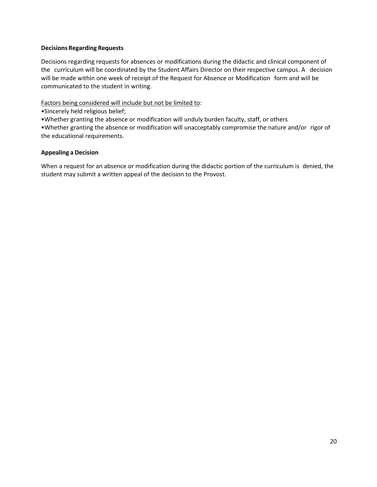#### **Decisions Regarding Requests**

Decisions regarding requests for absences or modifications during the didactic and clinical component of the curriculum will be coordinated by the Student Affairs Director on their respective campus. A decision will be made within one week of receipt of the Request for Absence or Modification form and will be communicated to the student in writing.

Factors being considered will include but not be limited to:

•Sincerely held religious belief;

•Whether granting the absence or modification will unduly burden faculty, staff, or others

•Whether granting the absence or modification will unacceptably compromise the nature and/or rigor of the educational requirements.

#### **Appealing a Decision**

When a request for an absence or modification during the didactic portion of the curriculum is denied, the student may submit a written appeal of the decision to the Provost.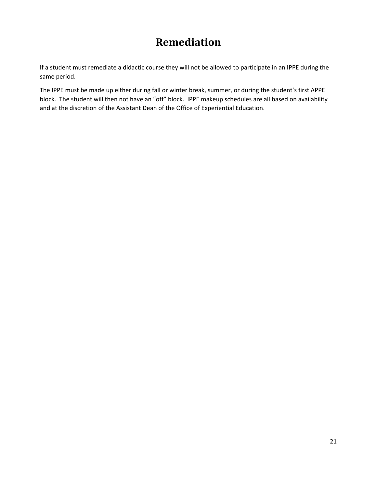### **Remediation**

If a student must remediate a didactic course they will not be allowed to participate in an IPPE during the same period.

The IPPE must be made up either during fall or winter break, summer, or during the student's first APPE block. The student will then not have an "off" block. IPPE makeup schedules are all based on availability and at the discretion of the Assistant Dean of the Office of Experiential Education.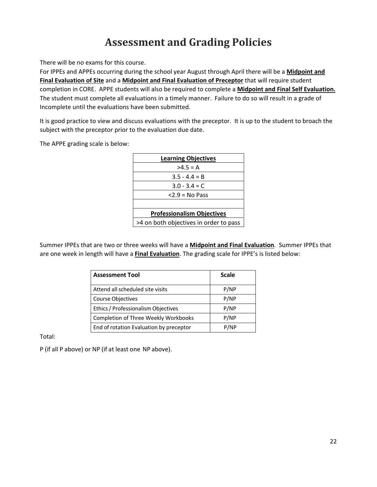### **Assessment and Grading Policies**

There will be no exams for this course.

For IPPEs and APPEs occurring during the school year August through April there will be a **Midpoint and Final Evaluation of Site** and a **Midpoint and Final Evaluation of Preceptor** that will require student completion in CORE. APPE students will also be required to complete a **Midpoint and Final Self Evaluation.**  The student must complete all evaluations in a timely manner. Failure to do so will result in a grade of Incomplete until the evaluations have been submitted.

It is good practice to view and discuss evaluations with the preceptor. It is up to the student to broach the subject with the preceptor prior to the evaluation due date.

The APPE grading scale is below:

| <b>Learning Objectives</b>             |  |
|----------------------------------------|--|
| $>4.5 = A$                             |  |
| $3.5 - 4.4 = B$                        |  |
| $3.0 - 3.4 = C$                        |  |
| $<$ 2.9 = No Pass                      |  |
|                                        |  |
| <b>Professionalism Objectives</b>      |  |
| >4 on both objectives in order to pass |  |

Summer IPPEs that are two or three weeks will have a **Midpoint and Final Evaluation**. Summer IPPEs that are one week in length will have a **Final Evaluation**. The grading scale for IPPE's is listed below:

| <b>Assessment Tool</b>                  | <b>Scale</b> |
|-----------------------------------------|--------------|
| Attend all scheduled site visits        | P/NP         |
| Course Objectives                       | P/NP         |
| Ethics / Professionalism Objectives     | P/NP         |
| Completion of Three Weekly Workbooks    | P/NP         |
| End of rotation Evaluation by preceptor | P/NP         |

Total:

P (if all P above) or NP (if at least one NP above).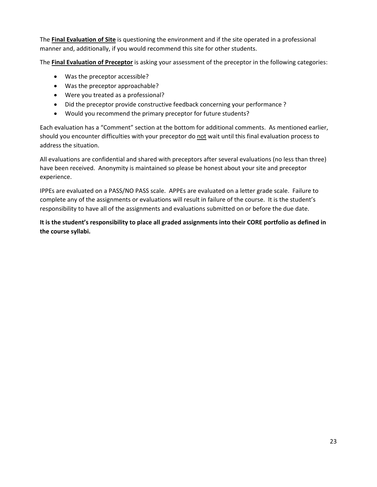The **Final Evaluation of Site** is questioning the environment and if the site operated in a professional manner and, additionally, if you would recommend this site for other students.

The **Final Evaluation of Preceptor** is asking your assessment of the preceptor in the following categories:

- Was the preceptor accessible?
- Was the preceptor approachable?
- Were you treated as a professional?
- Did the preceptor provide constructive feedback concerning your performance?
- Would you recommend the primary preceptor for future students?

Each evaluation has a "Comment" section at the bottom for additional comments. As mentioned earlier, should you encounter difficulties with your preceptor do not wait until this final evaluation process to address the situation.

All evaluations are confidential and shared with preceptors after several evaluations (no less than three) have been received. Anonymity is maintained so please be honest about your site and preceptor experience.

IPPEs are evaluated on a PASS/NO PASS scale. APPEs are evaluated on a letter grade scale. Failure to complete any of the assignments or evaluations will result in failure of the course. It is the student's responsibility to have all of the assignments and evaluations submitted on or before the due date.

It is the student's responsibility to place all graded assignments into their CORE portfolio as defined in **the course syllabi.**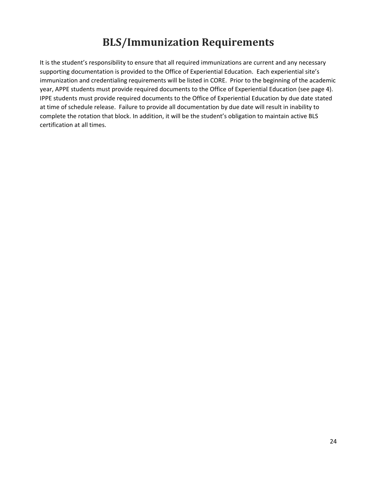# **BLS/Immunization Requirements**

It is the student's responsibility to ensure that all required immunizations are current and any necessary supporting documentation is provided to the Office of Experiential Education. Each experiential site's immunization and credentialing requirements will be listed in CORE. Prior to the beginning of the academic year, APPE students must provide required documents to the Office of Experiential Education (see page 4). IPPE students must provide required documents to the Office of Experiential Education by due date stated at time of schedule release. Failure to provide all documentation by due date will result in inability to complete the rotation that block. In addition, it will be the student's obligation to maintain active BLS certification at all times.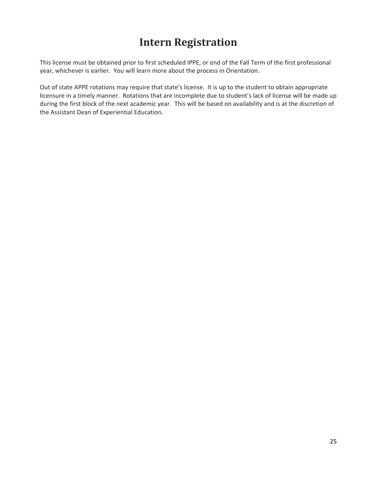### **Intern Registration**

This license must be obtained prior to first scheduled IPPE, or end of the Fall Term of the first professional year, whichever is earlier. You will learn more about the process in Orientation.

Out of state APPE rotations may require that state's license. It is up to the student to obtain appropriate licensure in a timely manner. Rotations that are incomplete due to student's lack of license will be made up during the first block of the next academic year. This will be based on availability and is at the discretion of the Assistant Dean of Experiential Education.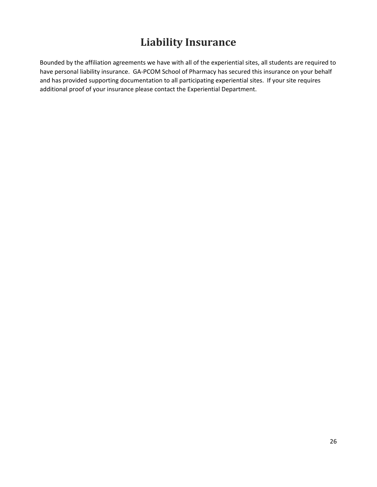# **Liability Insurance**

Bounded by the affiliation agreements we have with all of the experiential sites, all students are required to have personal liability insurance. GA-PCOM School of Pharmacy has secured this insurance on your behalf and has provided supporting documentation to all participating experiential sites. If your site requires additional proof of your insurance please contact the Experiential Department.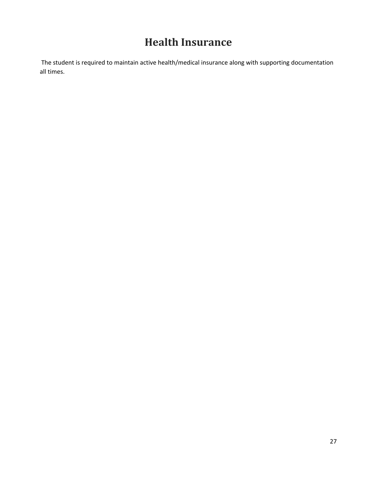### **Health Insurance**

The student is required to maintain active health/medical insurance along with supporting documentation all times.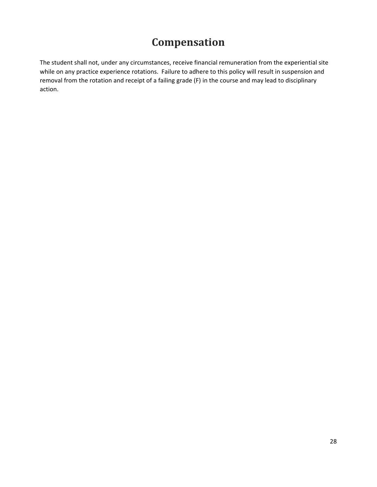### **Compensation**

The student shall not, under any circumstances, receive financial remuneration from the experiential site while on any practice experience rotations. Failure to adhere to this policy will result in suspension and removal from the rotation and receipt of a failing grade (F) in the course and may lead to disciplinary action.